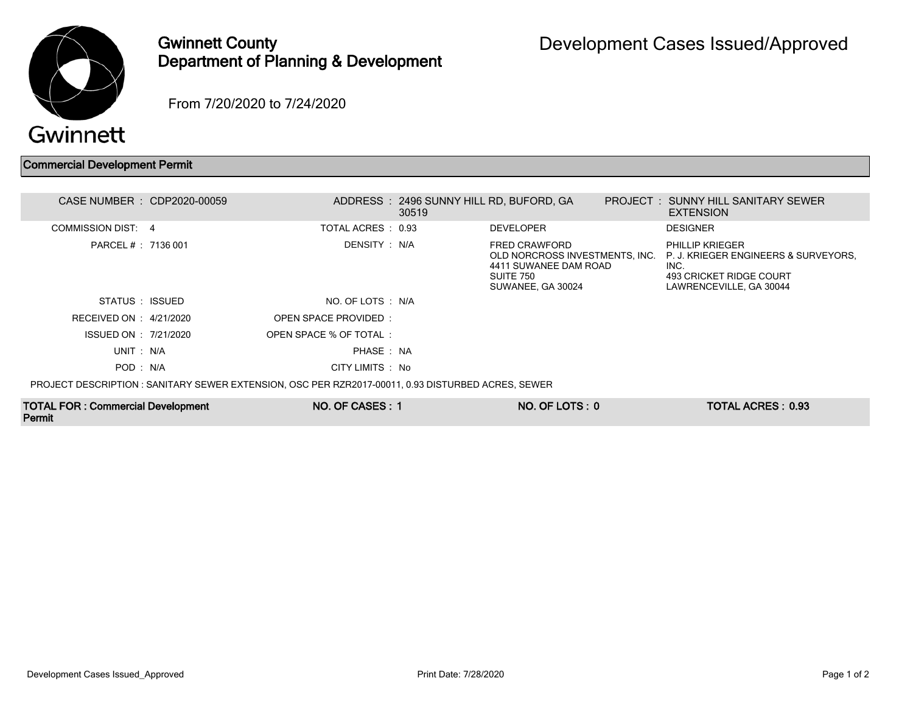

## Gwinnett County Department of Planning & Development

From 7/20/2020 to 7/24/2020

## Commercial Development Permit

| CASE NUMBER : CDP2020-00059                                                                        |                        |               | ADDRESS: 2496 SUNNY HILL RD, BUFORD, GA<br>30519 |                                                                                                            | <b>PROJECT : SUNNY HILL SANITARY SEWER</b><br><b>EXTENSION</b>                                                               |
|----------------------------------------------------------------------------------------------------|------------------------|---------------|--------------------------------------------------|------------------------------------------------------------------------------------------------------------|------------------------------------------------------------------------------------------------------------------------------|
| COMMISSION DIST: 4                                                                                 | TOTAL ACRES : 0.93     |               |                                                  | <b>DEVELOPER</b>                                                                                           | <b>DESIGNER</b>                                                                                                              |
| PARCEL # : 7136 001                                                                                |                        | DENSITY : N/A |                                                  | FRED CRAWFORD<br>OLD NORCROSS INVESTMENTS, INC.<br>4411 SUWANEE DAM ROAD<br>SUITE 750<br>SUWANEE, GA 30024 | <b>PHILLIP KRIEGER</b><br>P. J. KRIEGER ENGINEERS & SURVEYORS.<br>INC.<br>493 CRICKET RIDGE COURT<br>LAWRENCEVILLE, GA 30044 |
| STATUS : ISSUED                                                                                    | NO. OF LOTS : N/A      |               |                                                  |                                                                                                            |                                                                                                                              |
| RECEIVED ON : $4/21/2020$                                                                          | OPEN SPACE PROVIDED:   |               |                                                  |                                                                                                            |                                                                                                                              |
| ISSUED ON : 7/21/2020                                                                              | OPEN SPACE % OF TOTAL: |               |                                                  |                                                                                                            |                                                                                                                              |
| UNIT: N/A                                                                                          |                        | PHASE: NA     |                                                  |                                                                                                            |                                                                                                                              |
| POD: N/A                                                                                           | CITY LIMITS : No       |               |                                                  |                                                                                                            |                                                                                                                              |
| PROJECT DESCRIPTION : SANITARY SEWER EXTENSION, OSC PER RZR2017-00011, 0.93 DISTURBED ACRES, SEWER |                        |               |                                                  |                                                                                                            |                                                                                                                              |

TOTAL FOR : Commercial Development Permit

NO. OF CASES : 1 NO. OF LOTS : 0 TOTAL ACRES : 0.93